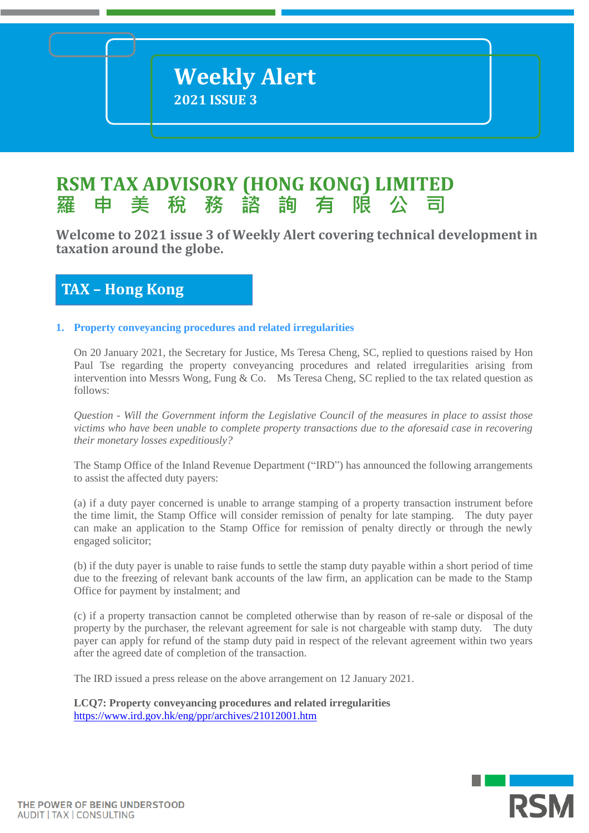# **RSM TAX ADVISORY (HONG KONG) LIMITED 羅 申 美 稅 務 諮 詢 有 限**

**Welcome to 2021 issue 3 of Weekly Alert covering technical development in taxation** around the globe.

# **TAX – Hong Kong**

# **1. Property conveyancing procedures and related irregularities**

On 20 January 2021, the Secretary for Justice, Ms Teresa Cheng, SC, replied to questions raised by Hon Paul Tse regarding the property conveyancing procedures and related irregularities arising from intervention into Messrs Wong, Fung & Co. Ms Teresa Cheng, SC replied to the tax related question as follows:

*Question - Will the Government inform the Legislative Council of the measures in place to assist those victims who have been unable to complete property transactions due to the aforesaid case in recovering their monetary losses expeditiously?*

The Stamp Office of the Inland Revenue Department ("IRD") has announced the following arrangements to assist the affected duty payers:

(a) if a duty payer concerned is unable to arrange stamping of a property transaction instrument before the time limit, the Stamp Office will consider remission of penalty for late stamping. The duty payer can make an application to the Stamp Office for remission of penalty directly or through the newly engaged solicitor;

(b) if the duty payer is unable to raise funds to settle the stamp duty payable within a short period of time due to the freezing of relevant bank accounts of the law firm, an application can be made to the Stamp Office for payment by instalment; and

(c) if a property transaction cannot be completed otherwise than by reason of re-sale or disposal of the property by the purchaser, the relevant agreement for sale is not chargeable with stamp duty. The duty payer can apply for refund of the stamp duty paid in respect of the relevant agreement within two years after the agreed date of completion of the transaction.

The IRD issued a press release on the above arrangement on 12 January 2021.

**LCQ7: Property conveyancing procedures and related irregularities** <https://www.ird.gov.hk/eng/ppr/archives/21012001.htm>

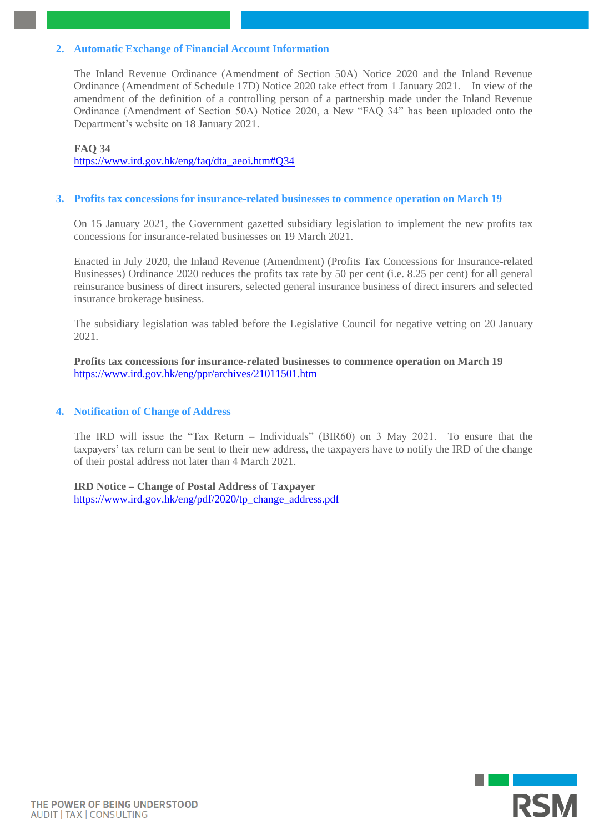### **2. Automatic Exchange of Financial Account Information**

The Inland Revenue Ordinance (Amendment of Section 50A) Notice 2020 and the Inland Revenue Ordinance (Amendment of Schedule 17D) Notice 2020 take effect from 1 January 2021. In view of the amendment of the definition of a controlling person of a partnership made under the Inland Revenue Ordinance (Amendment of Section 50A) Notice 2020, a New "FAQ 34" has been uploaded onto the Department's website on 18 January 2021.

### **FAQ 34**

[https://www.ird.gov.hk/eng/faq/dta\\_aeoi.htm#Q34](https://www.ird.gov.hk/eng/faq/dta_aeoi.htm#Q34)

### **3. Profits tax concessions for insurance-related businesses to commence operation on March 19**

On 15 January 2021, the Government gazetted subsidiary legislation to implement the new profits tax concessions for insurance-related businesses on 19 March 2021.

Enacted in July 2020, the Inland Revenue (Amendment) (Profits Tax Concessions for Insurance-related Businesses) Ordinance 2020 reduces the profits tax rate by 50 per cent (i.e. 8.25 per cent) for all general reinsurance business of direct insurers, selected general insurance business of direct insurers and selected insurance brokerage business.

The subsidiary legislation was tabled before the Legislative Council for negative vetting on 20 January 2021.

**Profits tax concessions for insurance-related businesses to commence operation on March 19** <https://www.ird.gov.hk/eng/ppr/archives/21011501.htm>

### **4. Notification of Change of Address**

The IRD will issue the "Tax Return – Individuals" (BIR60) on 3 May 2021. To ensure that the taxpayers' tax return can be sent to their new address, the taxpayers have to notify the IRD of the change of their postal address not later than 4 March 2021.

**IRD Notice – Change of Postal Address of Taxpayer** [https://www.ird.gov.hk/eng/pdf/2020/tp\\_change\\_address.pdf](https://www.ird.gov.hk/eng/pdf/2020/tp_change_address.pdf)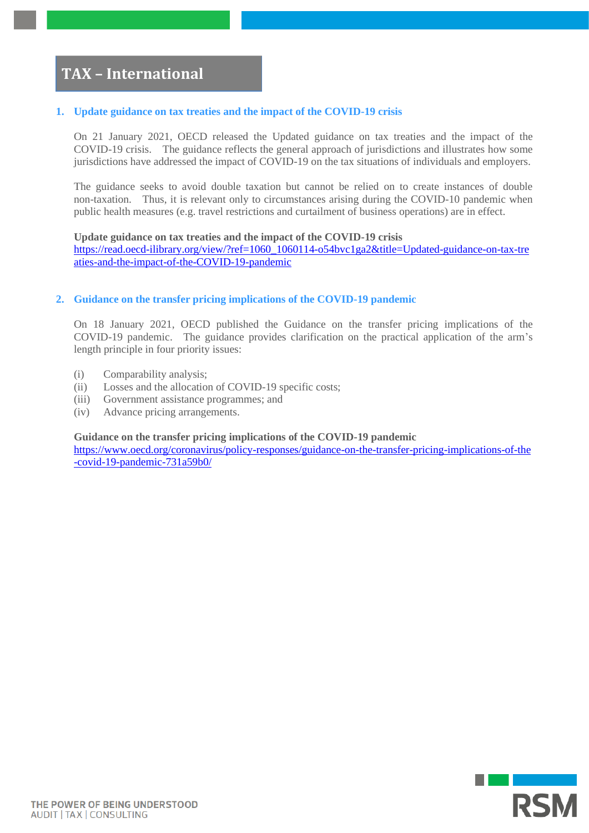# **TAX – International**

### **1. Update guidance on tax treaties and the impact of the COVID-19 crisis**

On 21 January 2021, OECD released the Updated guidance on tax treaties and the impact of the COVID-19 crisis. The guidance reflects the general approach of jurisdictions and illustrates how some jurisdictions have addressed the impact of COVID-19 on the tax situations of individuals and employers.

The guidance seeks to avoid double taxation but cannot be relied on to create instances of double non-taxation. Thus, it is relevant only to circumstances arising during the COVID-10 pandemic when public health measures (e.g. travel restrictions and curtailment of business operations) are in effect.

### **Update guidance on tax treaties and the impact of the COVID-19 crisis**

[https://read.oecd-ilibrary.org/view/?ref=1060\\_1060114-o54bvc1ga2&title=Updated-guidance-on-tax-tre](https://read.oecd-ilibrary.org/view/?ref=1060_1060114-o54bvc1ga2&title=Updated-guidance-on-tax-treaties-and-the-impact-of-the-COVID-19-pandemic) [aties-and-the-impact-of-the-COVID-19-pandemic](https://read.oecd-ilibrary.org/view/?ref=1060_1060114-o54bvc1ga2&title=Updated-guidance-on-tax-treaties-and-the-impact-of-the-COVID-19-pandemic)

### **2. Guidance on the transfer pricing implications of the COVID-19 pandemic**

On 18 January 2021, OECD published the Guidance on the transfer pricing implications of the COVID-19 pandemic. The guidance provides clarification on the practical application of the arm's length principle in four priority issues:

- (i) Comparability analysis;
- (ii) Losses and the allocation of COVID-19 specific costs;
- (iii) Government assistance programmes; and
- (iv) Advance pricing arrangements.

**Guidance on the transfer pricing implications of the COVID-19 pandemic**

[https://www.oecd.org/coronavirus/policy-responses/guidance-on-the-transfer-pricing-implications-of-the](https://www.oecd.org/coronavirus/policy-responses/guidance-on-the-transfer-pricing-implications-of-the-covid-19-pandemic-731a59b0/) [-covid-19-pandemic-731a59b0/](https://www.oecd.org/coronavirus/policy-responses/guidance-on-the-transfer-pricing-implications-of-the-covid-19-pandemic-731a59b0/)